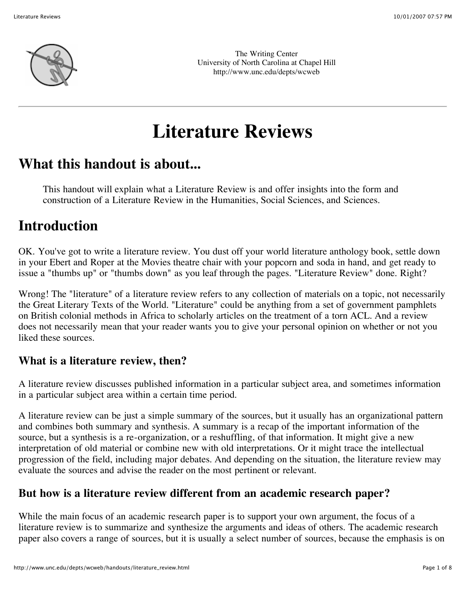

The Writing Center University of North Carolina at Chapel Hill http://www.unc.edu/depts/wcweb

# **Literature Reviews**

# **What this handout is about...**

This handout will explain what a Literature Review is and offer insights into the form and construction of a Literature Review in the Humanities, Social Sciences, and Sciences.

# **Introduction**

OK. You've got to write a literature review. You dust off your world literature anthology book, settle down in your Ebert and Roper at the Movies theatre chair with your popcorn and soda in hand, and get ready to issue a "thumbs up" or "thumbs down" as you leaf through the pages. "Literature Review" done. Right?

Wrong! The "literature" of a literature review refers to any collection of materials on a topic, not necessarily the Great Literary Texts of the World. "Literature" could be anything from a set of government pamphlets on British colonial methods in Africa to scholarly articles on the treatment of a torn ACL. And a review does not necessarily mean that your reader wants you to give your personal opinion on whether or not you liked these sources.

# **What is a literature review, then?**

A literature review discusses published information in a particular subject area, and sometimes information in a particular subject area within a certain time period.

A literature review can be just a simple summary of the sources, but it usually has an organizational pattern and combines both summary and synthesis. A summary is a recap of the important information of the source, but a synthesis is a re-organization, or a reshuffling, of that information. It might give a new interpretation of old material or combine new with old interpretations. Or it might trace the intellectual progression of the field, including major debates. And depending on the situation, the literature review may evaluate the sources and advise the reader on the most pertinent or relevant.

# **But how is a literature review different from an academic research paper?**

While the main focus of an academic research paper is to support your own argument, the focus of a literature review is to summarize and synthesize the arguments and ideas of others. The academic research paper also covers a range of sources, but it is usually a select number of sources, because the emphasis is on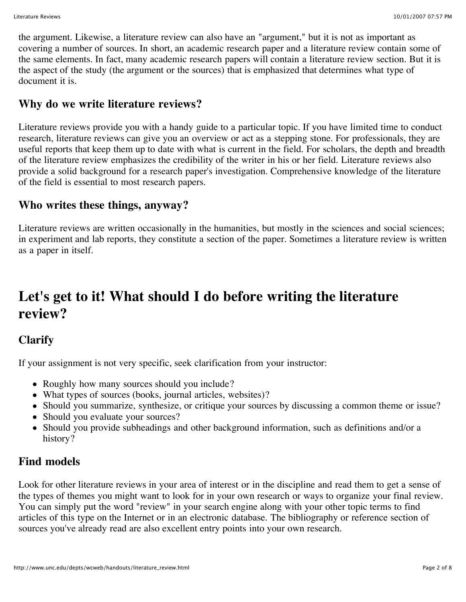the argument. Likewise, a literature review can also have an "argument," but it is not as important as covering a number of sources. In short, an academic research paper and a literature review contain some of the same elements. In fact, many academic research papers will contain a literature review section. But it is the aspect of the study (the argument or the sources) that is emphasized that determines what type of document it is.

### **Why do we write literature reviews?**

Literature reviews provide you with a handy guide to a particular topic. If you have limited time to conduct research, literature reviews can give you an overview or act as a stepping stone. For professionals, they are useful reports that keep them up to date with what is current in the field. For scholars, the depth and breadth of the literature review emphasizes the credibility of the writer in his or her field. Literature reviews also provide a solid background for a research paper's investigation. Comprehensive knowledge of the literature of the field is essential to most research papers.

### **Who writes these things, anyway?**

Literature reviews are written occasionally in the humanities, but mostly in the sciences and social sciences; in experiment and lab reports, they constitute a section of the paper. Sometimes a literature review is written as a paper in itself.

# **Let's get to it! What should I do before writing the literature review?**

# **Clarify**

If your assignment is not very specific, seek clarification from your instructor:

- Roughly how many sources should you include?
- What types of sources (books, journal articles, websites)?
- Should you summarize, synthesize, or critique your sources by discussing a common theme or issue?
- Should you evaluate your sources?
- Should you provide subheadings and other background information, such as definitions and/or a history?

# **Find models**

Look for other literature reviews in your area of interest or in the discipline and read them to get a sense of the types of themes you might want to look for in your own research or ways to organize your final review. You can simply put the word "review" in your search engine along with your other topic terms to find articles of this type on the Internet or in an electronic database. The bibliography or reference section of sources you've already read are also excellent entry points into your own research.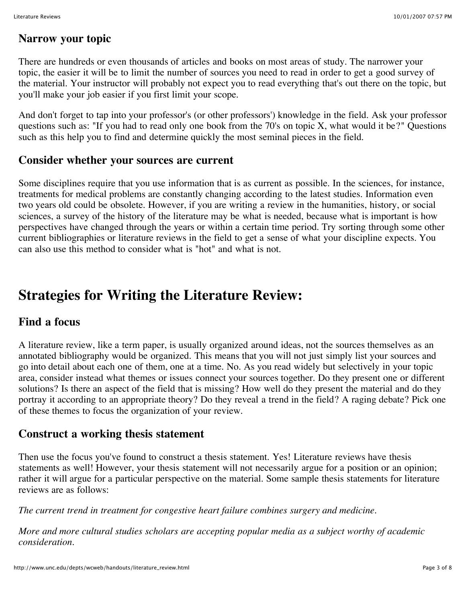# **Narrow your topic**

There are hundreds or even thousands of articles and books on most areas of study. The narrower your topic, the easier it will be to limit the number of sources you need to read in order to get a good survey of the material. Your instructor will probably not expect you to read everything that's out there on the topic, but you'll make your job easier if you first limit your scope.

And don't forget to tap into your professor's (or other professors') knowledge in the field. Ask your professor questions such as: "If you had to read only one book from the 70's on topic X, what would it be?" Questions such as this help you to find and determine quickly the most seminal pieces in the field.

### **Consider whether your sources are current**

Some disciplines require that you use information that is as current as possible. In the sciences, for instance, treatments for medical problems are constantly changing according to the latest studies. Information even two years old could be obsolete. However, if you are writing a review in the humanities, history, or social sciences, a survey of the history of the literature may be what is needed, because what is important is how perspectives have changed through the years or within a certain time period. Try sorting through some other current bibliographies or literature reviews in the field to get a sense of what your discipline expects. You can also use this method to consider what is "hot" and what is not.

# **Strategies for Writing the Literature Review:**

### **Find a focus**

A literature review, like a term paper, is usually organized around ideas, not the sources themselves as an annotated bibliography would be organized. This means that you will not just simply list your sources and go into detail about each one of them, one at a time. No. As you read widely but selectively in your topic area, consider instead what themes or issues connect your sources together. Do they present one or different solutions? Is there an aspect of the field that is missing? How well do they present the material and do they portray it according to an appropriate theory? Do they reveal a trend in the field? A raging debate? Pick one of these themes to focus the organization of your review.

### **Construct a working thesis statement**

Then use the focus you've found to construct a thesis statement. Yes! Literature reviews have thesis statements as well! However, your thesis statement will not necessarily argue for a position or an opinion; rather it will argue for a particular perspective on the material. Some sample thesis statements for literature reviews are as follows:

*The current trend in treatment for congestive heart failure combines surgery and medicine.*

*More and more cultural studies scholars are accepting popular media as a subject worthy of academic consideration.*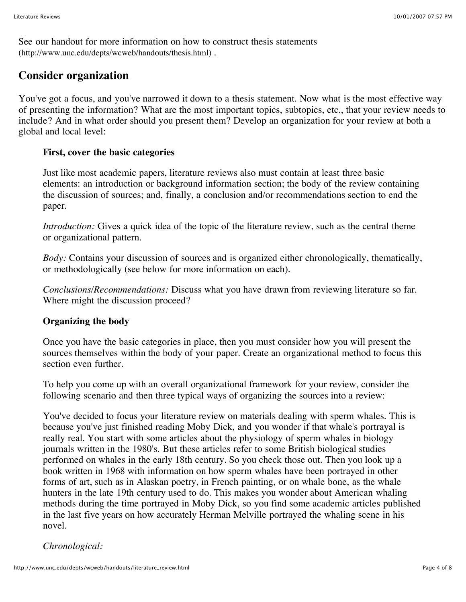See our handout for more information on how to construct thesis statements (http://www.unc.edu/depts/wcweb/handouts/thesis.html) .

# **Consider organization**

You've got a focus, and you've narrowed it down to a thesis statement. Now what is the most effective way of presenting the information? What are the most important topics, subtopics, etc., that your review needs to include? And in what order should you present them? Develop an organization for your review at both a global and local level:

#### **First, cover the basic categories**

Just like most academic papers, literature reviews also must contain at least three basic elements: an introduction or background information section; the body of the review containing the discussion of sources; and, finally, a conclusion and/or recommendations section to end the paper.

*Introduction:* Gives a quick idea of the topic of the literature review, such as the central theme or organizational pattern.

*Body:* Contains your discussion of sources and is organized either chronologically, thematically, or methodologically (see below for more information on each).

*Conclusions/Recommendations:* Discuss what you have drawn from reviewing literature so far. Where might the discussion proceed?

#### **Organizing the body**

Once you have the basic categories in place, then you must consider how you will present the sources themselves within the body of your paper. Create an organizational method to focus this section even further.

To help you come up with an overall organizational framework for your review, consider the following scenario and then three typical ways of organizing the sources into a review:

You've decided to focus your literature review on materials dealing with sperm whales. This is because you've just finished reading Moby Dick, and you wonder if that whale's portrayal is really real. You start with some articles about the physiology of sperm whales in biology journals written in the 1980's. But these articles refer to some British biological studies performed on whales in the early 18th century. So you check those out. Then you look up a book written in 1968 with information on how sperm whales have been portrayed in other forms of art, such as in Alaskan poetry, in French painting, or on whale bone, as the whale hunters in the late 19th century used to do. This makes you wonder about American whaling methods during the time portrayed in Moby Dick, so you find some academic articles published in the last five years on how accurately Herman Melville portrayed the whaling scene in his novel.

#### *Chronological:*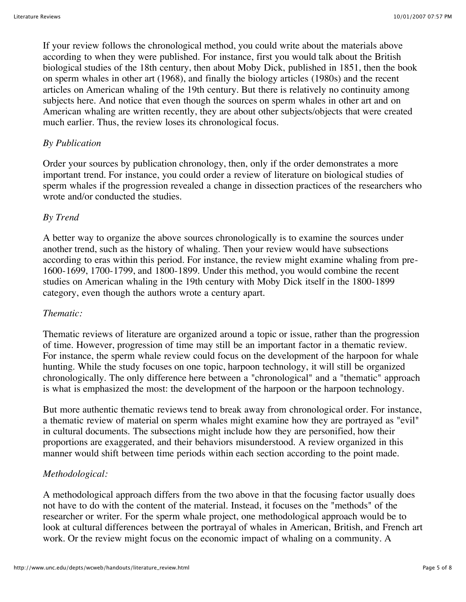If your review follows the chronological method, you could write about the materials above according to when they were published. For instance, first you would talk about the British biological studies of the 18th century, then about Moby Dick, published in 1851, then the book on sperm whales in other art (1968), and finally the biology articles (1980s) and the recent articles on American whaling of the 19th century. But there is relatively no continuity among subjects here. And notice that even though the sources on sperm whales in other art and on American whaling are written recently, they are about other subjects/objects that were created much earlier. Thus, the review loses its chronological focus.

#### *By Publication*

Order your sources by publication chronology, then, only if the order demonstrates a more important trend. For instance, you could order a review of literature on biological studies of sperm whales if the progression revealed a change in dissection practices of the researchers who wrote and/or conducted the studies.

#### *By Trend*

A better way to organize the above sources chronologically is to examine the sources under another trend, such as the history of whaling. Then your review would have subsections according to eras within this period. For instance, the review might examine whaling from pre-1600-1699, 1700-1799, and 1800-1899. Under this method, you would combine the recent studies on American whaling in the 19th century with Moby Dick itself in the 1800-1899 category, even though the authors wrote a century apart.

#### *Thematic:*

Thematic reviews of literature are organized around a topic or issue, rather than the progression of time. However, progression of time may still be an important factor in a thematic review. For instance, the sperm whale review could focus on the development of the harpoon for whale hunting. While the study focuses on one topic, harpoon technology, it will still be organized chronologically. The only difference here between a "chronological" and a "thematic" approach is what is emphasized the most: the development of the harpoon or the harpoon technology.

But more authentic thematic reviews tend to break away from chronological order. For instance, a thematic review of material on sperm whales might examine how they are portrayed as "evil" in cultural documents. The subsections might include how they are personified, how their proportions are exaggerated, and their behaviors misunderstood. A review organized in this manner would shift between time periods within each section according to the point made.

#### *Methodological:*

A methodological approach differs from the two above in that the focusing factor usually does not have to do with the content of the material. Instead, it focuses on the "methods" of the researcher or writer. For the sperm whale project, one methodological approach would be to look at cultural differences between the portrayal of whales in American, British, and French art work. Or the review might focus on the economic impact of whaling on a community. A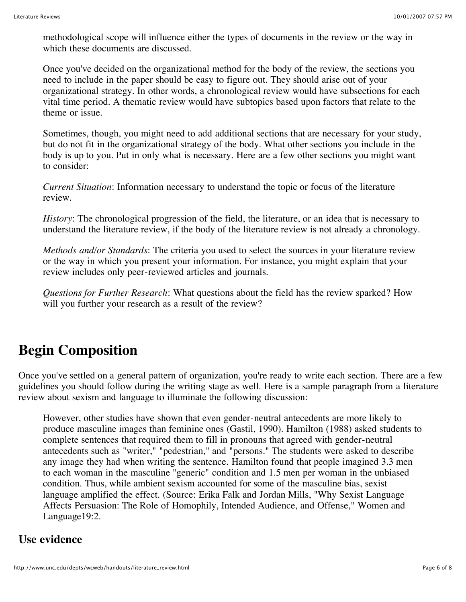methodological scope will influence either the types of documents in the review or the way in which these documents are discussed.

Once you've decided on the organizational method for the body of the review, the sections you need to include in the paper should be easy to figure out. They should arise out of your organizational strategy. In other words, a chronological review would have subsections for each vital time period. A thematic review would have subtopics based upon factors that relate to the theme or issue.

Sometimes, though, you might need to add additional sections that are necessary for your study, but do not fit in the organizational strategy of the body. What other sections you include in the body is up to you. Put in only what is necessary. Here are a few other sections you might want to consider:

*Current Situation*: Information necessary to understand the topic or focus of the literature review.

*History*: The chronological progression of the field, the literature, or an idea that is necessary to understand the literature review, if the body of the literature review is not already a chronology.

*Methods and/or Standards*: The criteria you used to select the sources in your literature review or the way in which you present your information. For instance, you might explain that your review includes only peer-reviewed articles and journals.

*Questions for Further Research*: What questions about the field has the review sparked? How will you further your research as a result of the review?

# **Begin Composition**

Once you've settled on a general pattern of organization, you're ready to write each section. There are a few guidelines you should follow during the writing stage as well. Here is a sample paragraph from a literature review about sexism and language to illuminate the following discussion:

However, other studies have shown that even gender-neutral antecedents are more likely to produce masculine images than feminine ones (Gastil, 1990). Hamilton (1988) asked students to complete sentences that required them to fill in pronouns that agreed with gender-neutral antecedents such as "writer," "pedestrian," and "persons." The students were asked to describe any image they had when writing the sentence. Hamilton found that people imagined 3.3 men to each woman in the masculine "generic" condition and 1.5 men per woman in the unbiased condition. Thus, while ambient sexism accounted for some of the masculine bias, sexist language amplified the effect. (Source: Erika Falk and Jordan Mills, "Why Sexist Language Affects Persuasion: The Role of Homophily, Intended Audience, and Offense," Women and Language19:2.

### **Use evidence**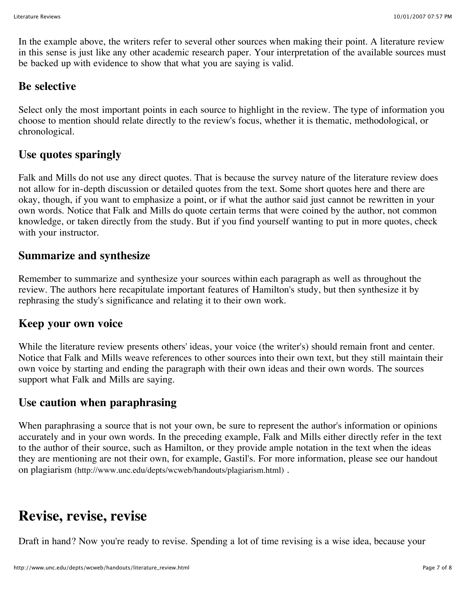In the example above, the writers refer to several other sources when making their point. A literature review in this sense is just like any other academic research paper. Your interpretation of the available sources must be backed up with evidence to show that what you are saying is valid.

### **Be selective**

Select only the most important points in each source to highlight in the review. The type of information you choose to mention should relate directly to the review's focus, whether it is thematic, methodological, or chronological.

# **Use quotes sparingly**

Falk and Mills do not use any direct quotes. That is because the survey nature of the literature review does not allow for in-depth discussion or detailed quotes from the text. Some short quotes here and there are okay, though, if you want to emphasize a point, or if what the author said just cannot be rewritten in your own words. Notice that Falk and Mills do quote certain terms that were coined by the author, not common knowledge, or taken directly from the study. But if you find yourself wanting to put in more quotes, check with your instructor.

### **Summarize and synthesize**

Remember to summarize and synthesize your sources within each paragraph as well as throughout the review. The authors here recapitulate important features of Hamilton's study, but then synthesize it by rephrasing the study's significance and relating it to their own work.

# **Keep your own voice**

While the literature review presents others' ideas, your voice (the writer's) should remain front and center. Notice that Falk and Mills weave references to other sources into their own text, but they still maintain their own voice by starting and ending the paragraph with their own ideas and their own words. The sources support what Falk and Mills are saying.

# **Use caution when paraphrasing**

When paraphrasing a source that is not your own, be sure to represent the author's information or opinions accurately and in your own words. In the preceding example, Falk and Mills either directly refer in the text to the author of their source, such as Hamilton, or they provide ample notation in the text when the ideas they are mentioning are not their own, for example, Gastil's. For more information, please see our handout on plagiarism (http://www.unc.edu/depts/wcweb/handouts/plagiarism.html) .

# **Revise, revise, revise**

Draft in hand? Now you're ready to revise. Spending a lot of time revising is a wise idea, because your